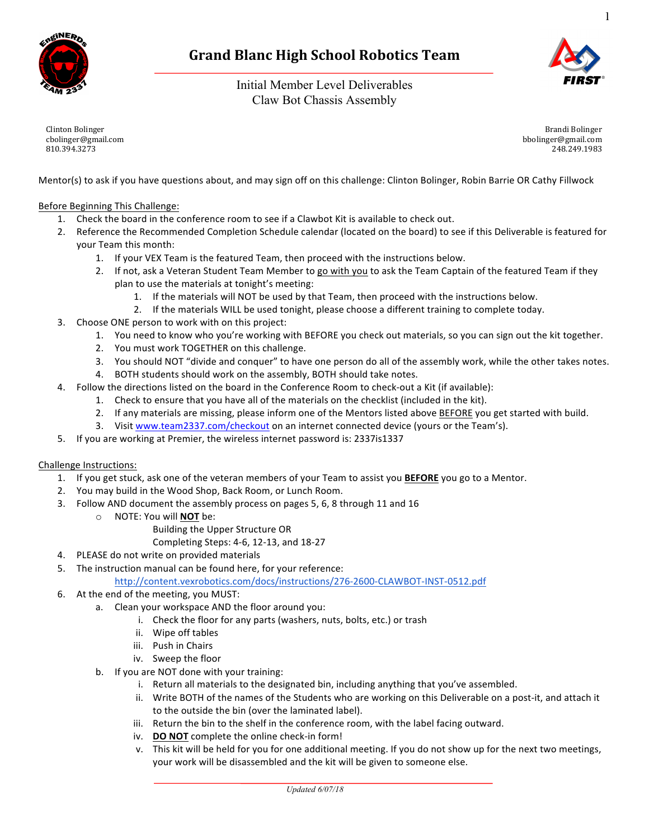

# **Grand Blanc High School Robotics Team**

Initial Member Level Deliverables Claw Bot Chassis Assembly



1

Clinton Bolinger cbolinger@gmail.com 810.394.3273

Brandi Bolinger bbolinger@gmail.com 248.249.1983

Mentor(s) to ask if you have questions about, and may sign off on this challenge: Clinton Bolinger, Robin Barrie OR Cathy Fillwock

Before Beginning This Challenge:

- 1. Check the board in the conference room to see if a Clawbot Kit is available to check out.
- 2. Reference the Recommended Completion Schedule calendar (located on the board) to see if this Deliverable is featured for your Team this month:
	- 1. If your VEX Team is the featured Team, then proceed with the instructions below.
	- 2. If not, ask a Veteran Student Team Member to go with you to ask the Team Captain of the featured Team if they plan to use the materials at tonight's meeting:
		- 1. If the materials will NOT be used by that Team, then proceed with the instructions below.
		- 2. If the materials WILL be used tonight, please choose a different training to complete today.
- 3. Choose ONE person to work with on this project:
	- 1. You need to know who you're working with BEFORE you check out materials, so you can sign out the kit together.
	- 2. You must work TOGETHER on this challenge.
	- 3. You should NOT "divide and conquer" to have one person do all of the assembly work, while the other takes notes.
	- 4. BOTH students should work on the assembly, BOTH should take notes.
- 4. Follow the directions listed on the board in the Conference Room to check-out a Kit (if available):
	- 1. Check to ensure that you have all of the materials on the checklist (included in the kit).
	- 2. If any materials are missing, please inform one of the Mentors listed above BEFORE you get started with build.
	- 3. Visit www.team2337.com/checkout on an internet connected device (yours or the Team's).
- 5. If you are working at Premier, the wireless internet password is: 2337is1337

## Challenge Instructions:

- 1. If you get stuck, ask one of the veteran members of your Team to assist you **BEFORE** you go to a Mentor.
- 2. You may build in the Wood Shop, Back Room, or Lunch Room.
- 3. Follow AND document the assembly process on pages 5, 6, 8 through 11 and 16
	- o NOTE: You will **NOT** be:
		- Building the Upper Structure OR
		- Completing Steps: 4-6, 12-13, and 18-27
- 4. PLEASE do not write on provided materials
- 5. The instruction manual can be found here, for your reference:

http://content.vexrobotics.com/docs/instructions/276-2600-CLAWBOT-INST-0512.pdf

- 6. At the end of the meeting, you MUST:
	- a. Clean your workspace AND the floor around you:
		- i. Check the floor for any parts (washers, nuts, bolts, etc.) or trash
		- ii. Wipe off tables
		- iii. Push in Chairs
		- iv. Sweep the floor
	- b. If you are NOT done with your training:
		- i. Return all materials to the designated bin, including anything that you've assembled.
		- ii. Write BOTH of the names of the Students who are working on this Deliverable on a post-it, and attach it to the outside the bin (over the laminated label).
		- iii. Return the bin to the shelf in the conference room, with the label facing outward.
		- iv. DO NOT complete the online check-in form!
		- v. This kit will be held for you for one additional meeting. If you do not show up for the next two meetings, your work will be disassembled and the kit will be given to someone else.